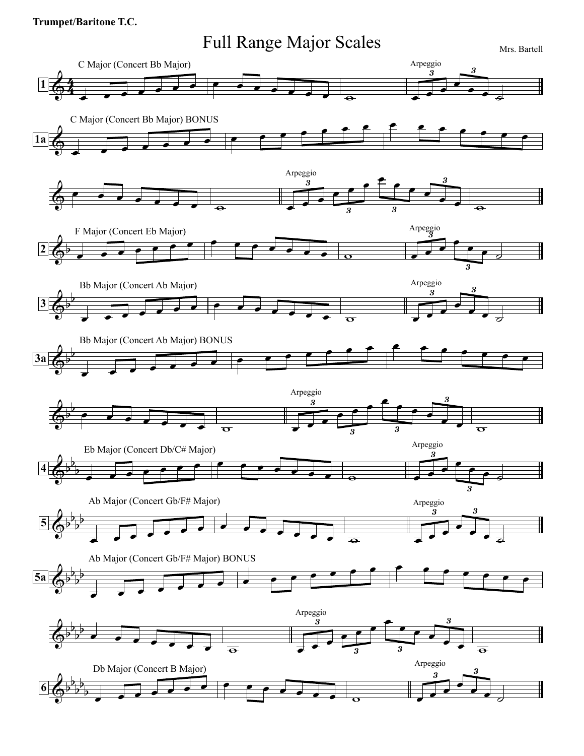## **Trumpet/Baritone T.C.**

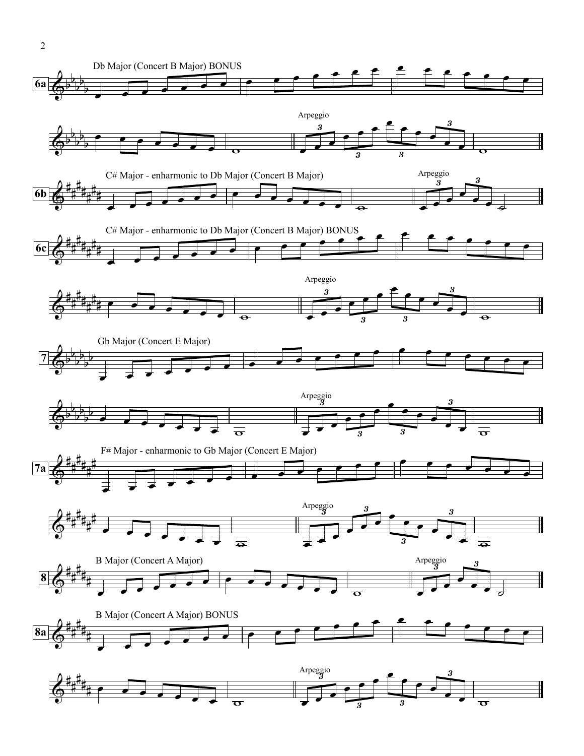

2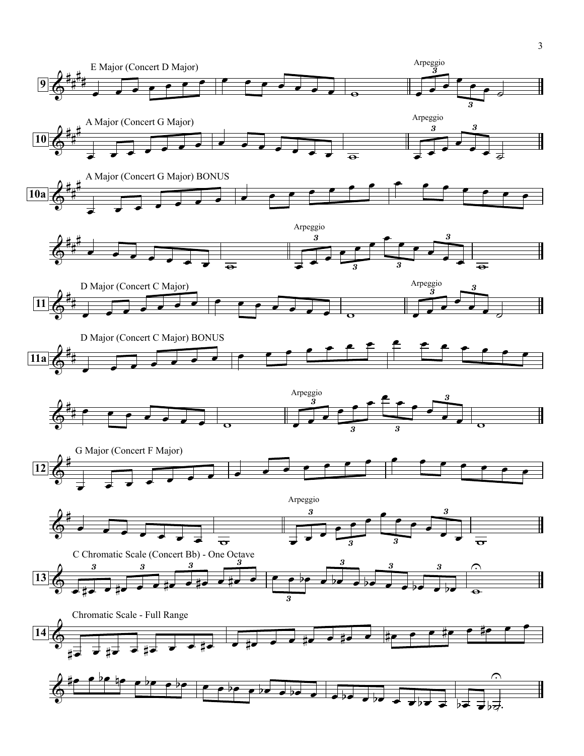